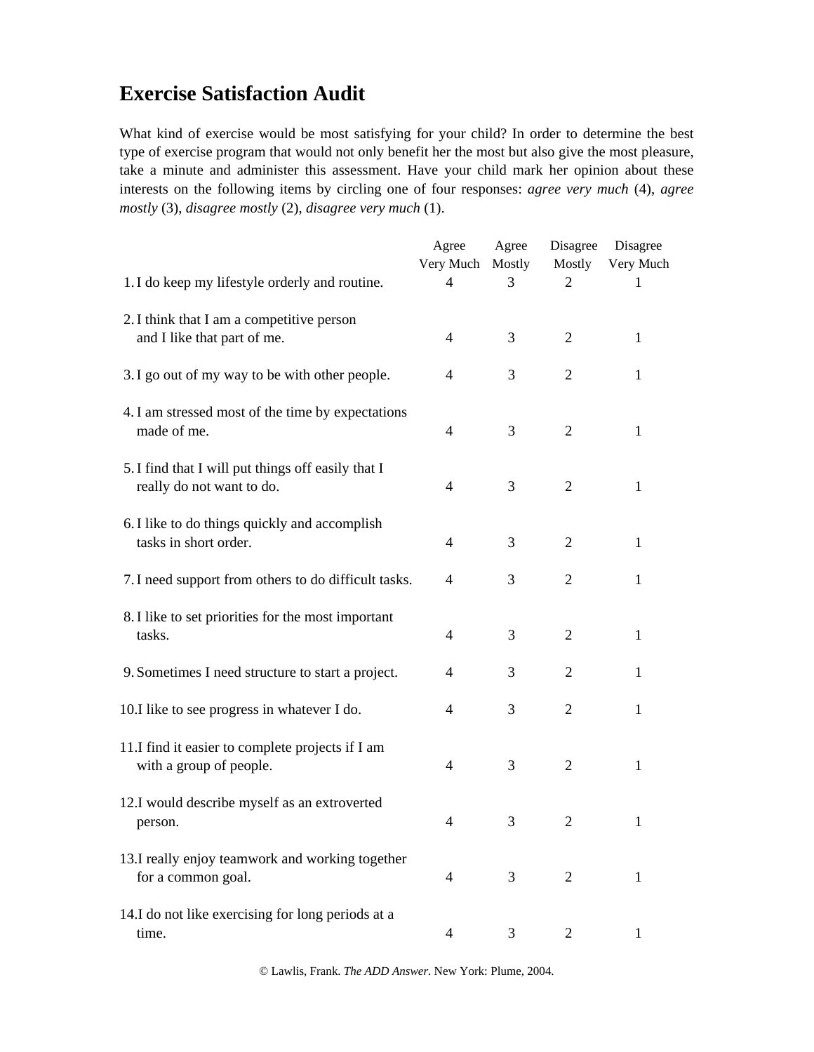# **Exercise Satisfaction Audit**

What kind of exercise would be most satisfying for your child? In order to determine the best type of exercise program that would not only benefit her the most but also give the most pleasure, take a minute and administer this assessment. Have your child mark her opinion about these interests on the following items by circling one of four responses: *agree very much* (4), *agree mostly* (3), *disagree mostly* (2), *disagree very much* (1).

|                                                                                 | Agree<br>Very Much | Agree<br>Mostly | Disagree<br>Mostly | Disagree<br>Very Much |
|---------------------------------------------------------------------------------|--------------------|-----------------|--------------------|-----------------------|
| 1. I do keep my lifestyle orderly and routine.                                  | 4                  | 3               | 2                  | 1                     |
| 2. I think that I am a competitive person<br>and I like that part of me.        | 4                  | 3               | 2                  | $\mathbf{1}$          |
| 3. I go out of my way to be with other people.                                  | 4                  | 3               | $\overline{2}$     | $\mathbf{1}$          |
| 4. I am stressed most of the time by expectations<br>made of me.                | $\overline{4}$     | 3               | 2                  | $\mathbf{1}$          |
| 5. I find that I will put things off easily that I<br>really do not want to do. | $\overline{4}$     | 3               | 2                  | $\mathbf{1}$          |
| 6. I like to do things quickly and accomplish<br>tasks in short order.          | $\overline{4}$     | 3               | 2                  | $\mathbf{1}$          |
| 7. I need support from others to do difficult tasks.                            | 4                  | 3               | $\overline{2}$     | $\mathbf{1}$          |
| 8. I like to set priorities for the most important<br>tasks.                    | 4                  | 3               | $\overline{2}$     | $\mathbf{1}$          |
| 9. Sometimes I need structure to start a project.                               | 4                  | 3               | 2                  | 1                     |
| 10.I like to see progress in whatever I do.                                     | $\overline{4}$     | 3               | $\overline{2}$     | 1                     |
| 11.I find it easier to complete projects if I am<br>with a group of people.     | $\overline{4}$     | 3               | 2                  | $\mathbf{1}$          |
| 12.I would describe myself as an extroverted<br>person.                         | $\overline{4}$     | 3               | $\overline{2}$     | $\mathbf{1}$          |
| 13.I really enjoy teamwork and working together<br>for a common goal.           | 4                  | 3               | 2                  | 1                     |
| 14.I do not like exercising for long periods at a<br>time.                      | 4                  | 3               | 2                  | 1                     |

© Lawlis, Frank. *The ADD Answer*. New York: Plume, 2004.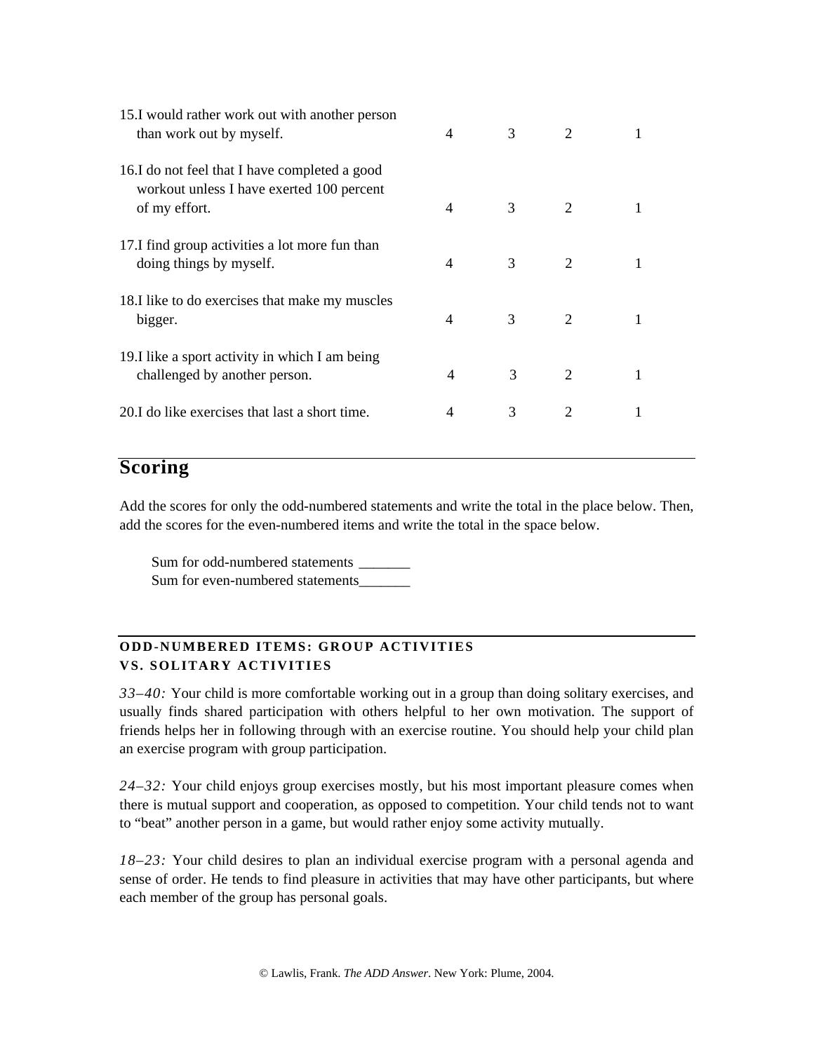| 15.I would rather work out with another person<br>than work out by myself.                                  | $\overline{4}$ | 3 | 2                           |   |
|-------------------------------------------------------------------------------------------------------------|----------------|---|-----------------------------|---|
| 16.I do not feel that I have completed a good<br>workout unless I have exerted 100 percent<br>of my effort. | $\overline{4}$ | 3 | $\mathcal{D}_{\mathcal{L}}$ |   |
| 17.I find group activities a lot more fun than<br>doing things by myself.                                   | 4              | 3 | 2                           |   |
| 18.I like to do exercises that make my muscles<br>bigger.                                                   | $\overline{4}$ | 3 | 2                           | 1 |
| 19.I like a sport activity in which I am being<br>challenged by another person.                             | 4              | 3 | 2                           |   |
| 20.I do like exercises that last a short time.                                                              | 4              | 3 | 2                           |   |

### **Scoring**

Add the scores for only the odd-numbered statements and write the total in the place below. Then, add the scores for the even-numbered items and write the total in the space below.

Sum for odd-numbered statements \_\_\_\_\_\_\_ Sum for even-numbered statements\_\_\_\_\_\_\_\_\_\_

#### **ODD-NUMBERED ITEMS: GROUP ACTIVITIES VS. SOLITARY ACTIVITIES**

*33–40:* Your child is more comfortable working out in a group than doing solitary exercises, and usually finds shared participation with others helpful to her own motivation. The support of friends helps her in following through with an exercise routine. You should help your child plan an exercise program with group participation.

*24–32:* Your child enjoys group exercises mostly, but his most important pleasure comes when there is mutual support and cooperation, as opposed to competition. Your child tends not to want to "beat" another person in a game, but would rather enjoy some activity mutually.

*18–23:* Your child desires to plan an individual exercise program with a personal agenda and sense of order. He tends to find pleasure in activities that may have other participants, but where each member of the group has personal goals.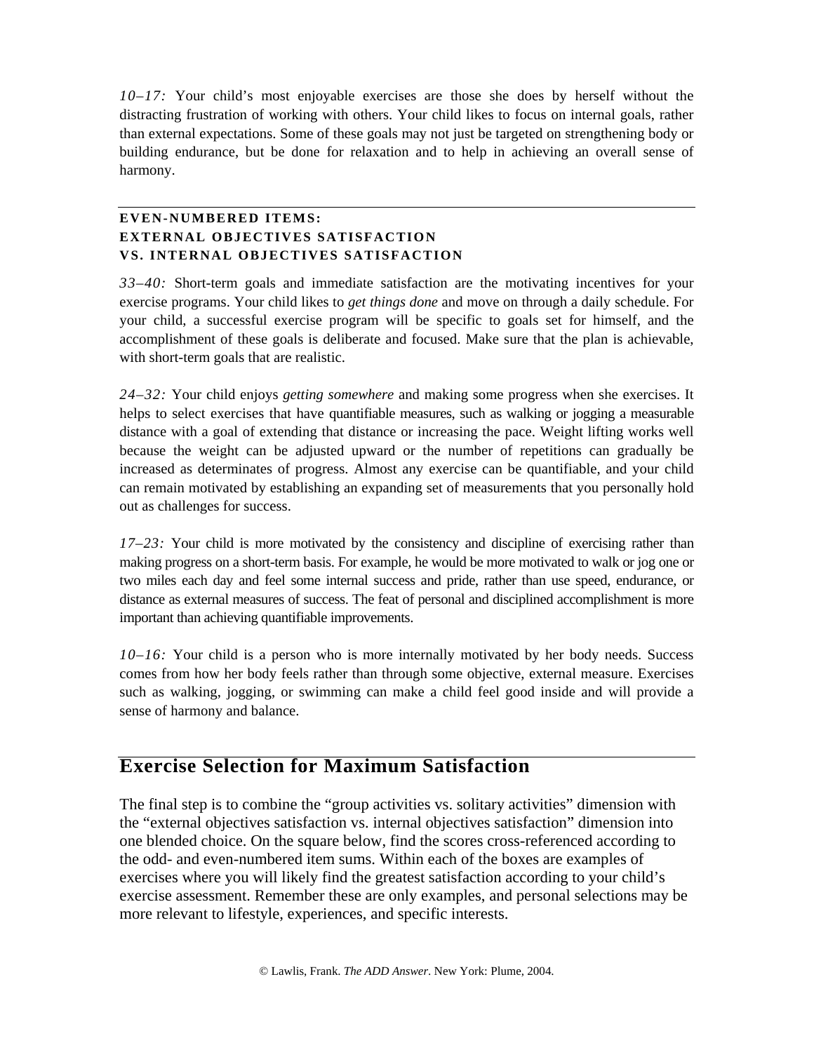*10–17:* Your child's most enjoyable exercises are those she does by herself without the distracting frustration of working with others. Your child likes to focus on internal goals, rather than external expectations. Some of these goals may not just be targeted on strengthening body or building endurance, but be done for relaxation and to help in achieving an overall sense of harmony.

#### **EVEN-NUMBERED ITEMS: EXTERNAL OBJECTIVES SATISFACTION VS. INTERNAL OBJECTIVES SATISFACTION**

*33–40:* Short-term goals and immediate satisfaction are the motivating incentives for your exercise programs. Your child likes to *get things done* and move on through a daily schedule. For your child, a successful exercise program will be specific to goals set for himself, and the accomplishment of these goals is deliberate and focused. Make sure that the plan is achievable, with short-term goals that are realistic.

*24–32:* Your child enjoys *getting somewhere* and making some progress when she exercises. It helps to select exercises that have quantifiable measures, such as walking or jogging a measurable distance with a goal of extending that distance or increasing the pace. Weight lifting works well because the weight can be adjusted upward or the number of repetitions can gradually be increased as determinates of progress. Almost any exercise can be quantifiable, and your child can remain motivated by establishing an expanding set of measurements that you personally hold out as challenges for success.

*17–23:* Your child is more motivated by the consistency and discipline of exercising rather than making progress on a short-term basis. For example, he would be more motivated to walk or jog one or two miles each day and feel some internal success and pride, rather than use speed, endurance, or distance as external measures of success. The feat of personal and disciplined accomplishment is more important than achieving quantifiable improvements.

*10–16:* Your child is a person who is more internally motivated by her body needs. Success comes from how her body feels rather than through some objective, external measure. Exercises such as walking, jogging, or swimming can make a child feel good inside and will provide a sense of harmony and balance.

## **Exercise Selection for Maximum Satisfaction**

The final step is to combine the "group activities vs. solitary activities" dimension with the "external objectives satisfaction vs. internal objectives satisfaction" dimension into one blended choice. On the square below, find the scores cross-referenced according to the odd- and even-numbered item sums. Within each of the boxes are examples of exercises where you will likely find the greatest satisfaction according to your child's exercise assessment. Remember these are only examples, and personal selections may be more relevant to lifestyle, experiences, and specific interests.